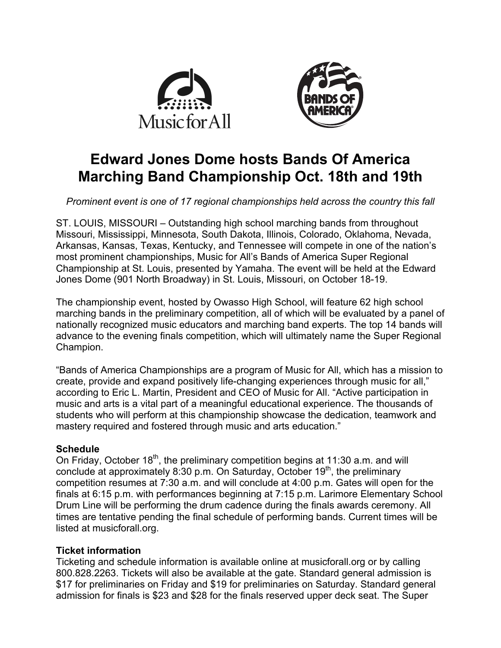



# **Edward Jones Dome hosts Bands Of America Marching Band Championship Oct. 18th and 19th**

*Prominent event is one of 17 regional championships held across the country this fall*

ST. LOUIS, MISSOURI – Outstanding high school marching bands from throughout Missouri, Mississippi, Minnesota, South Dakota, Illinois, Colorado, Oklahoma, Nevada, Arkansas, Kansas, Texas, Kentucky, and Tennessee will compete in one of the nation's most prominent championships, Music for All's Bands of America Super Regional Championship at St. Louis, presented by Yamaha. The event will be held at the Edward Jones Dome (901 North Broadway) in St. Louis, Missouri, on October 18-19.

The championship event, hosted by Owasso High School, will feature 62 high school marching bands in the preliminary competition, all of which will be evaluated by a panel of nationally recognized music educators and marching band experts. The top 14 bands will advance to the evening finals competition, which will ultimately name the Super Regional Champion.

"Bands of America Championships are a program of Music for All, which has a mission to create, provide and expand positively life-changing experiences through music for all," according to Eric L. Martin, President and CEO of Music for All. "Active participation in music and arts is a vital part of a meaningful educational experience. The thousands of students who will perform at this championship showcase the dedication, teamwork and mastery required and fostered through music and arts education."

# **Schedule**

On Friday, October 18<sup>th</sup>, the preliminary competition begins at 11:30 a.m. and will conclude at approximately 8:30 p.m. On Saturday, October  $19<sup>th</sup>$ , the preliminary competition resumes at 7:30 a.m. and will conclude at 4:00 p.m. Gates will open for the finals at 6:15 p.m. with performances beginning at 7:15 p.m. Larimore Elementary School Drum Line will be performing the drum cadence during the finals awards ceremony. All times are tentative pending the final schedule of performing bands. Current times will be listed at musicforall.org.

# **Ticket information**

Ticketing and schedule information is available online at musicforall.org or by calling 800.828.2263. Tickets will also be available at the gate. Standard general admission is \$17 for preliminaries on Friday and \$19 for preliminaries on Saturday. Standard general admission for finals is \$23 and \$28 for the finals reserved upper deck seat. The Super